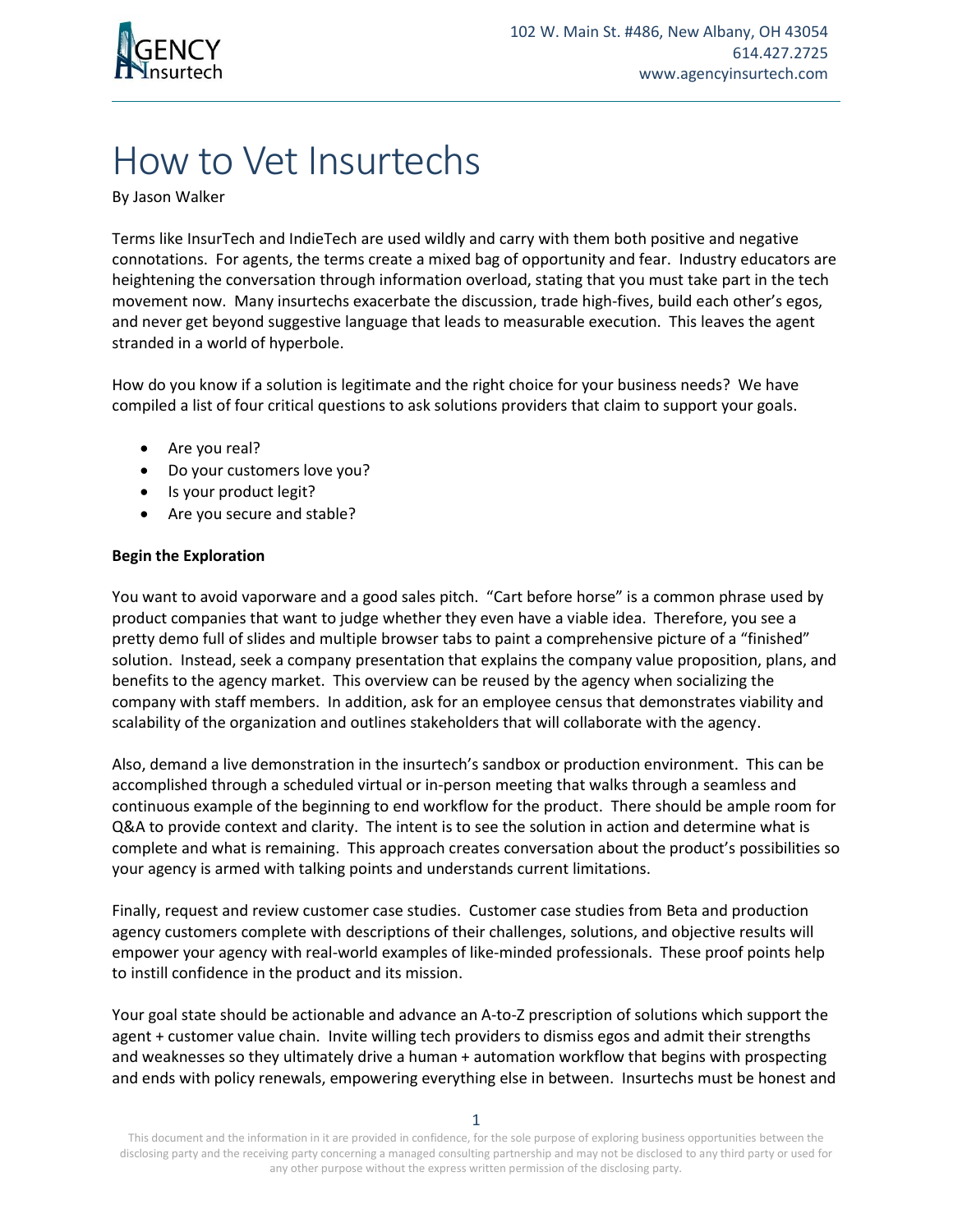

## How to Vet Insurtechs

By Jason Walker

Terms like InsurTech and IndieTech are used wildly and carry with them both positive and negative connotations. For agents, the terms create a mixed bag of opportunity and fear. Industry educators are heightening the conversation through information overload, stating that you must take part in the tech movement now. Many insurtechs exacerbate the discussion, trade high-fives, build each other's egos, and never get beyond suggestive language that leads to measurable execution. This leaves the agent stranded in a world of hyperbole.

How do you know if a solution is legitimate and the right choice for your business needs? We have compiled a list of four critical questions to ask solutions providers that claim to support your goals.

- Are you real?
- Do your customers love you?
- Is your product legit?
- Are you secure and stable?

## **Begin the Exploration**

You want to avoid vaporware and a good sales pitch. "Cart before horse" is a common phrase used by product companies that want to judge whether they even have a viable idea. Therefore, you see a pretty demo full of slides and multiple browser tabs to paint a comprehensive picture of a "finished" solution. Instead, seek a company presentation that explains the company value proposition, plans, and benefits to the agency market. This overview can be reused by the agency when socializing the company with staff members. In addition, ask for an employee census that demonstrates viability and scalability of the organization and outlines stakeholders that will collaborate with the agency.

Also, demand a live demonstration in the insurtech's sandbox or production environment. This can be accomplished through a scheduled virtual or in-person meeting that walks through a seamless and continuous example of the beginning to end workflow for the product. There should be ample room for Q&A to provide context and clarity. The intent is to see the solution in action and determine what is complete and what is remaining. This approach creates conversation about the product's possibilities so your agency is armed with talking points and understands current limitations.

Finally, request and review customer case studies. Customer case studies from Beta and production agency customers complete with descriptions of their challenges, solutions, and objective results will empower your agency with real-world examples of like-minded professionals. These proof points help to instill confidence in the product and its mission.

Your goal state should be actionable and advance an A-to-Z prescription of solutions which support the agent + customer value chain. Invite willing tech providers to dismiss egos and admit their strengths and weaknesses so they ultimately drive a human + automation workflow that begins with prospecting and ends with policy renewals, empowering everything else in between. Insurtechs must be honest and

This document and the information in it are provided in confidence, for the sole purpose of exploring business opportunities between the disclosing party and the receiving party concerning a managed consulting partnership and may not be disclosed to any third party or used for any other purpose without the express written permission of the disclosing party.